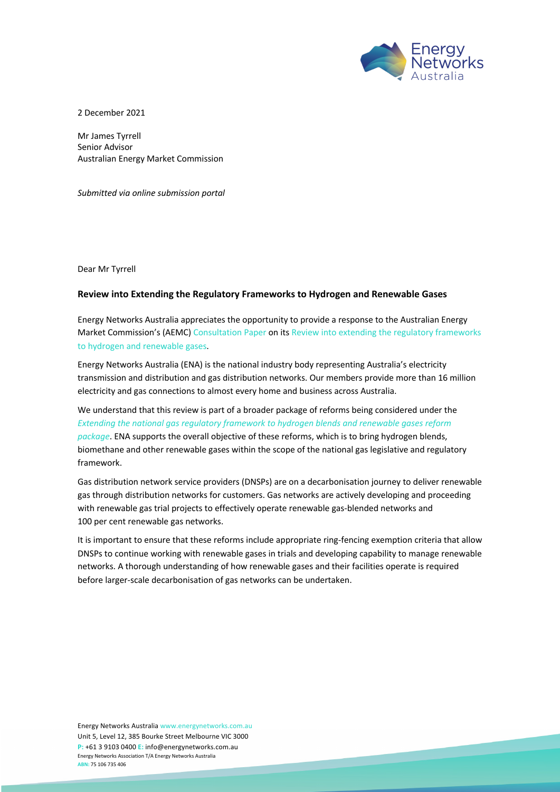

2 December 2021

Mr James Tyrrell Senior Advisor Australian Energy Market Commission

*Submitted via online submission portal*

Dear Mr Tyrrell

## **Review into Extending the Regulatory Frameworks to Hydrogen and Renewable Gases**

Energy Networks Australia appreciates the opportunity to provide a response to the Australian Energy Market Commission's (AEMC) Consultation Paper on its Review into extending the regulatory frameworks to hydrogen and renewable gases.

Energy Networks Australia (ENA) is the national industry body representing Australia's electricity transmission and distribution and gas distribution networks. Our members provide more than 16 million electricity and gas connections to almost every home and business across Australia.

We understand that this review is part of a broader package of reforms being considered under the *Extending the national gas regulatory framework to hydrogen blends and renewable gases reform package*. ENA supports the overall objective of these reforms, which is to bring hydrogen blends, biomethane and other renewable gases within the scope of the national gas legislative and regulatory framework.

Gas distribution network service providers (DNSPs) are on a decarbonisation journey to deliver renewable gas through distribution networks for customers. Gas networks are actively developing and proceeding with renewable gas trial projects to effectively operate renewable gas-blended networks and 100 per cent renewable gas networks.

It is important to ensure that these reforms include appropriate ring-fencing exemption criteria that allow DNSPs to continue working with renewable gases in trials and developing capability to manage renewable networks. A thorough understanding of how renewable gases and their facilities operate is required before larger-scale decarbonisation of gas networks can be undertaken.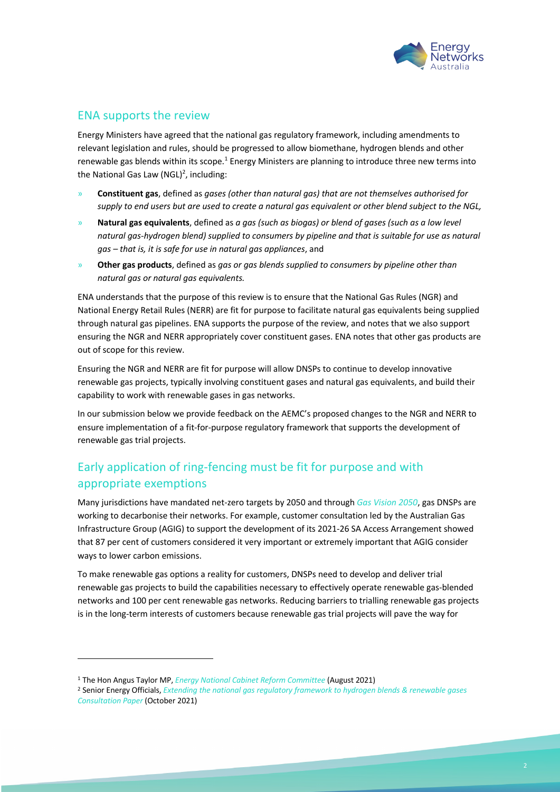

## ENA supports the review

Energy Ministers have agreed that the national gas regulatory framework, including amendments to relevant legislation and rules, should be progressed to allow biomethane, hydrogen blends and other renewable gas blends within its scope.<sup>1</sup> Energy Ministers are planning to introduce three new terms into the National Gas Law (NGL)<sup>2</sup>, including:

- » **Constituent gas**, defined as *gases (other than natural gas) that are not themselves authorised for supply to end users but are used to create a natural gas equivalent or other blend subject to the NGL,*
- » **Natural gas equivalents**, defined as *a gas (such as biogas) or blend of gases (such as a low level natural gas-hydrogen blend) supplied to consumers by pipeline and that is suitable for use as natural gas – that is, it is safe for use in natural gas appliances*, and
- » **Other gas products**, defined as *gas or gas blends supplied to consumers by pipeline other than natural gas or natural gas equivalents.*

ENA understands that the purpose of this review is to ensure that the National Gas Rules (NGR) and National Energy Retail Rules (NERR) are fit for purpose to facilitate natural gas equivalents being supplied through natural gas pipelines. ENA supports the purpose of the review, and notes that we also support ensuring the NGR and NERR appropriately cover constituent gases. ENA notes that other gas products are out of scope for this review.

Ensuring the NGR and NERR are fit for purpose will allow DNSPs to continue to develop innovative renewable gas projects, typically involving constituent gases and natural gas equivalents, and build their capability to work with renewable gases in gas networks.

In our submission below we provide feedback on the AEMC's proposed changes to the NGR and NERR to ensure implementation of a fit-for-purpose regulatory framework that supports the development of renewable gas trial projects.

## Early application of ring-fencing must be fit for purpose and with appropriate exemptions

Many jurisdictions have mandated net-zero targets by 2050 and through *Gas Vision 2050*, gas DNSPs are working to decarbonise their networks. For example, customer consultation led by the Australian Gas Infrastructure Group (AGIG) to support the development of its 2021-26 SA Access Arrangement showed that 87 per cent of customers considered it very important or extremely important that AGIG consider ways to lower carbon emissions.

To make renewable gas options a reality for customers, DNSPs need to develop and deliver trial renewable gas projects to build the capabilities necessary to effectively operate renewable gas-blended networks and 100 per cent renewable gas networks. Reducing barriers to trialling renewable gas projects is in the long-term interests of customers because renewable gas trial projects will pave the way for

<sup>1</sup> The Hon Angus Taylor MP, *Energy National Cabinet Reform Committee* (August 2021)

<sup>2</sup> Senior Energy Officials, *Extending the national gas regulatory framework to hydrogen blends & renewable gases Consultation Paper* (October 2021)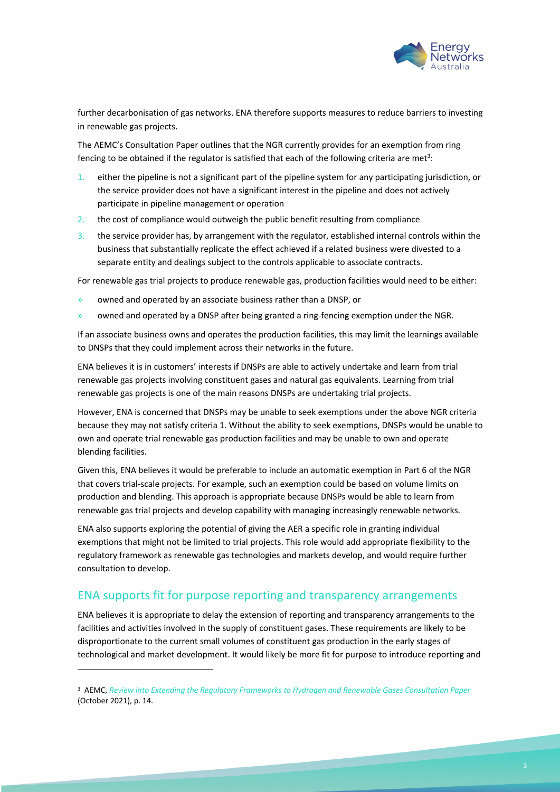

further decarbonisation of gas networks. ENA therefore supports measures to reduce barriers to investing in renewable gas projects.

The AEMC's Consultation Paper outlines that the NGR currently provides for an exemption from ring fencing to be obtained if the regulator is satisfied that each of the following criteria are met<sup>3</sup>:

- 1. either the pipeline is not a significant part of the pipeline system for any participating jurisdiction, or the service provider does not have a significant interest in the pipeline and does not actively participate in pipeline management or operation
- 2. the cost of compliance would outweigh the public benefit resulting from compliance
- 3. the service provider has, by arrangement with the regulator, established internal controls within the business that substantially replicate the effect achieved if a related business were divested to a separate entity and dealings subject to the controls applicable to associate contracts.

For renewable gas trial projects to produce renewable gas, production facilities would need to be either:

- » owned and operated by an associate business rather than a DNSP, or
- » owned and operated by a DNSP after being granted a ring-fencing exemption under the NGR.

If an associate business owns and operates the production facilities, this may limit the learnings available to DNSPs that they could implement across their networks in the future.

ENA believes it is in customers' interests if DNSPs are able to actively undertake and learn from trial renewable gas projects involving constituent gases and natural gas equivalents. Learning from trial renewable gas projects is one of the main reasons DNSPs are undertaking trial projects.

However, ENA is concerned that DNSPs may be unable to seek exemptions under the above NGR criteria because they may not satisfy criteria 1. Without the ability to seek exemptions, DNSPs would be unable to own and operate trial renewable gas production facilities and may be unable to own and operate blending facilities.

Given this, ENA believes it would be preferable to include an automatic exemption in Part 6 of the NGR that covers trial-scale projects. For example, such an exemption could be based on volume limits on production and blending. This approach is appropriate because DNSPs would be able to learn from renewable gas trial projects and develop capability with managing increasingly renewable networks.

ENA also supports exploring the potential of giving the AER a specific role in granting individual exemptions that might not be limited to trial projects. This role would add appropriate flexibility to the regulatory framework as renewable gas technologies and markets develop, and would require further consultation to develop.

## ENA supports fit for purpose reporting and transparency arrangements

ENA believes it is appropriate to delay the extension of reporting and transparency arrangements to the facilities and activities involved in the supply of constituent gases. These requirements are likely to be disproportionate to the current small volumes of constituent gas production in the early stages of technological and market development. It would likely be more fit for purpose to introduce reporting and

<sup>3</sup> AEMC, *Review into Extending the Regulatory Frameworks to Hydrogen and Renewable Gases Consultation Paper* (October 2021), p. 14.